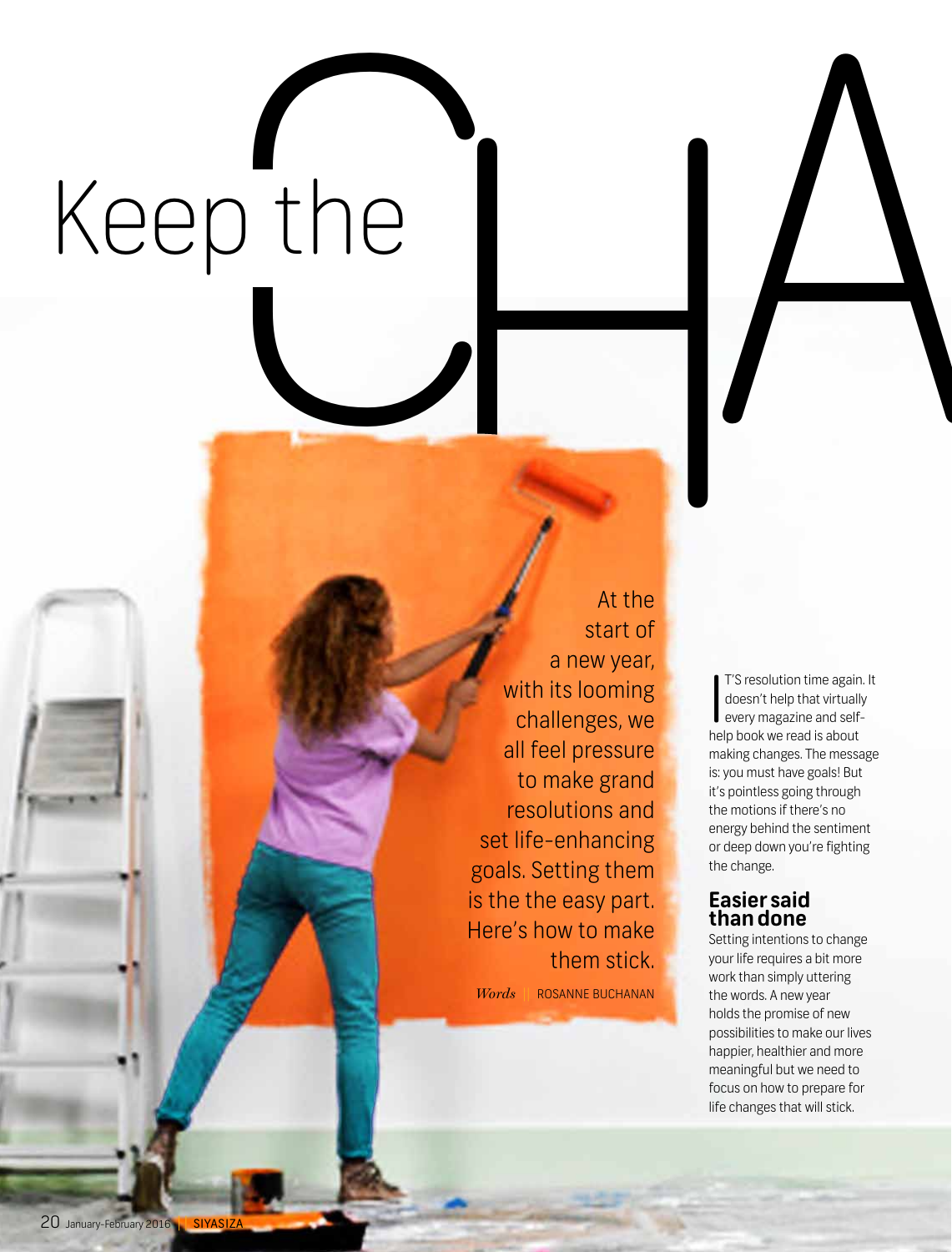# Keep the Keep the  $\left|\bigcup_{\text{atm}}\right|$

At the start of a new year, with its looming challenges, we all feel pressure to make grand resolutions and set life-enhancing goals. Setting them is the the easy part. Here's how to make them stick.

*Words* **||** Rosanne Buchanan

I'S resolution time again<br>doesn't help that virtuall<br>every magazine and self-<br>help book we read is about T'S resolution time again. It doesn't help that virtually every magazine and selfmaking changes. The message is: you must have goals! But it's pointless going through the motions if there's no energy behind the sentiment or deep down you're fighting the change.

### **Easier said than done**

Setting intentions to change your life requires a bit more work than simply uttering the words. A new year holds the promise of new possibilities to make our lives happier, healthier and more meaningful but we need to focus on how to prepare for life changes that will stick.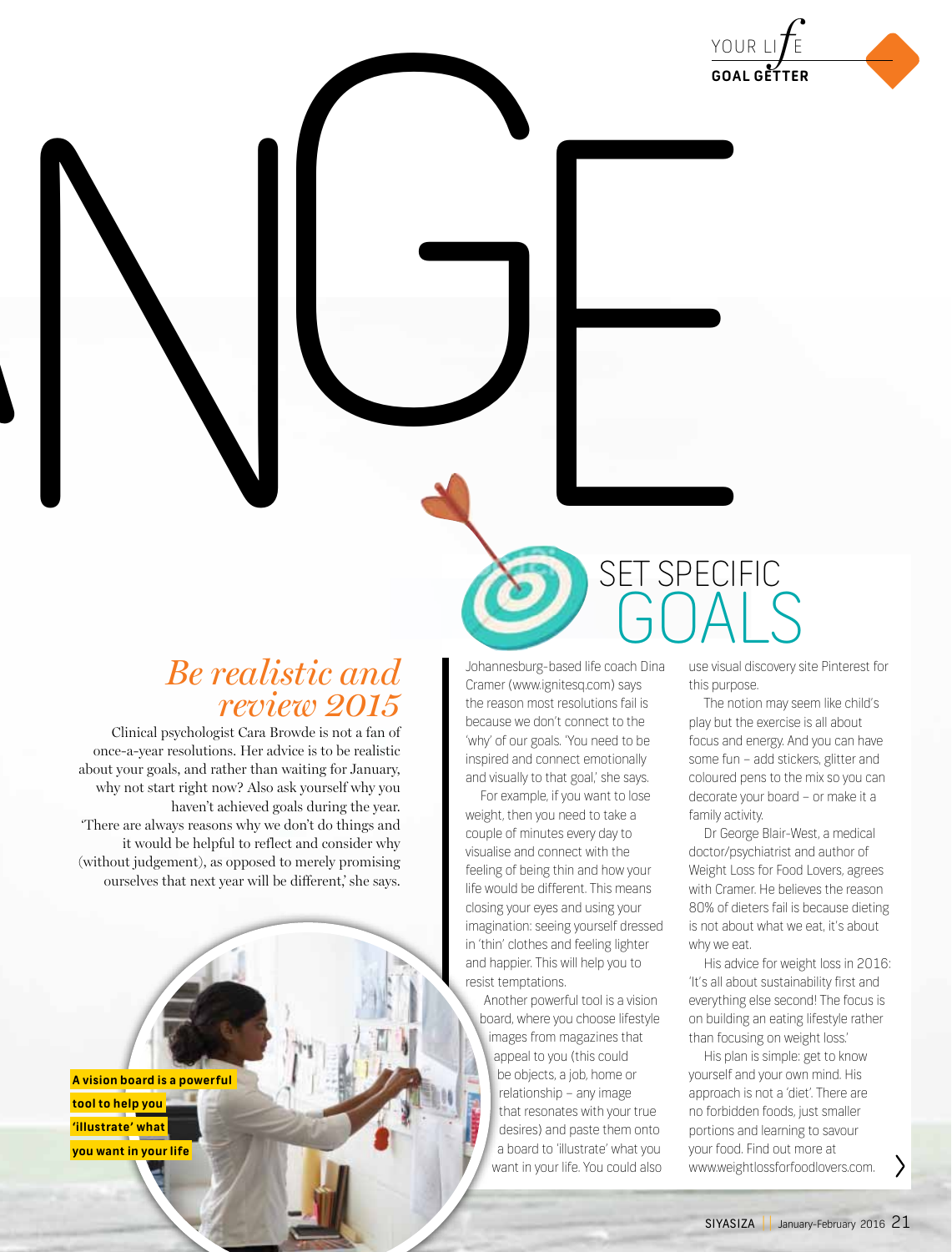

### *Be realistic and review 2015*

Clinical psychologist Cara Browde is not a fan of once-a-year resolutions. Her advice is to be realistic about your goals, and rather than waiting for January, why not start right now? Also ask yourself why you haven't achieved goals during the year. 'There are always reasons why we don't do things and it would be helpful to reflect and consider why (without judgement), as opposed to merely promising ourselves that next year will be different,' she says.

**A vision board is a powerful tool to help you 'illustrate' what you want in your life** 

Johannesburg-based life coach Dina Cramer (www.ignitesq.com) says the reason most resolutions fail is because we don't connect to the 'why' of our goals. 'You need to be inspired and connect emotionally and visually to that goal,' she says.

For example, if you want to lose weight, then you need to take a couple of minutes every day to visualise and connect with the feeling of being thin and how your life would be different. This means closing your eyes and using your imagination: seeing yourself dressed in 'thin' clothes and feeling lighter and happier. This will help you to resist temptations.

Another powerful tool is a vision board, where you choose lifestyle images from magazines that appeal to you (this could be objects, a job, home or relationship – any image that resonates with your true desires) and paste them onto a board to 'illustrate' what you want in your life. You could also

use visual discovery site Pinterest for this purpose. goals

SPECIFIC

The notion may seem like child's play but the exercise is all about focus and energy. And you can have some fun – add stickers, glitter and coloured pens to the mix so you can decorate your board – or make it a family activity.

Dr George Blair-West, a medical doctor/psychiatrist and author of Weight Loss for Food Lovers, agrees with Cramer. He believes the reason 80% of dieters fail is because dieting is not about what we eat, it's about why we eat.

His advice for weight loss in 2016: 'It's all about sustainability first and everything else second! The focus is on building an eating lifestyle rather than focusing on weight loss.'

His plan is simple: get to know yourself and your own mind. His approach is not a 'diet'. There are no forbidden foods, just smaller portions and learning to savour your food. Find out more at www.weightlossforfoodlovers.com.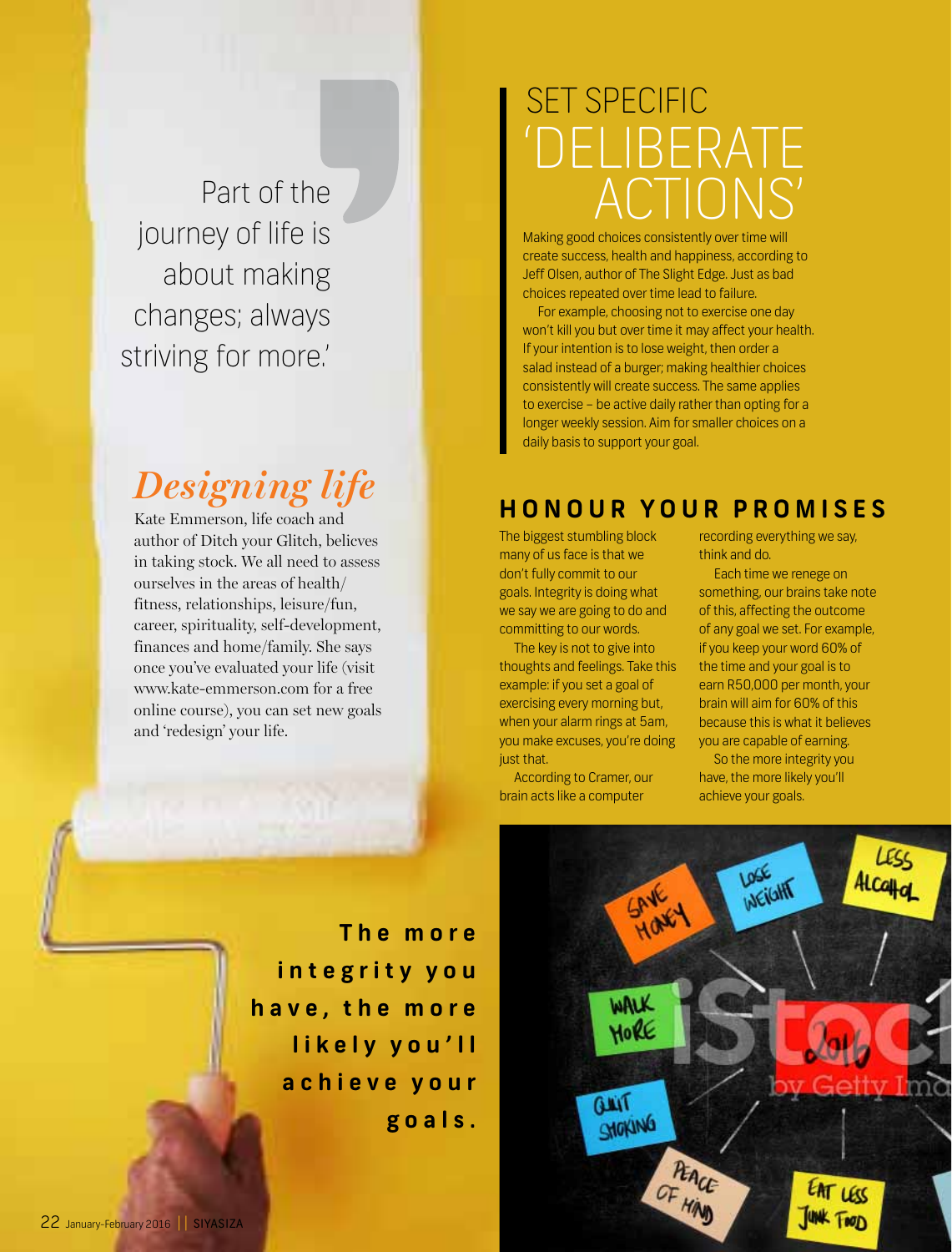Part of the journey of life is about making changes; always striving for more.'

## *Designing life*

Kate Emmerson, life coach and author of Ditch your Glitch, belicves in taking stock. We all need to assess ourselves in the areas of health/ fitness, relationships, leisure/fun, career, spirituality, self-development, finances and home/family. She says once you've evaluated your life (visit www.kate-emmerson.com for a free online course), you can set new goals and 'redesign' your life.

# Set specific -RAIF actions'

Making good choices consistently over time will create success, health and happiness, according to Jeff Olsen, author of The Slight Edge. Just as bad choices repeated over time lead to failure.

For example, choosing not to exercise one day won't kill you but over time it may affect your health. If your intention is to lose weight, then order a salad instead of a burger; making healthier choices consistently will create success. The same applies to exercise – be active daily rather than opting for a longer weekly session. Aim for smaller choices on a daily basis to support your goal.

### **Honour your promis e s**

The biggest stumbling block many of us face is that we don't fully commit to our goals. Integrity is doing what we say we are going to do and committing to our words.

The key is not to give into thoughts and feelings. Take this example: if you set a goal of exercising every morning but, when your alarm rings at 5am, you make excuses, you're doing just that.

According to Cramer, our brain acts like a computer

recording everything we say, think and do.

Each time we renege on something, our brains take note of this, affecting the outcome of any goal we set. For example, if you keep your word 60% of the time and your goal is to earn R50,000 per month, your brain will aim for 60% of this because this is what it believes you are capable of earning.

So the more integrity you have, the more likely you'll achieve your goals.



**T h e m o r e i n t e g r i t y y o u h a v e , t h e m o r e l i k e l y y o u ' l l a c h i e v e y o u r g o a l s .**